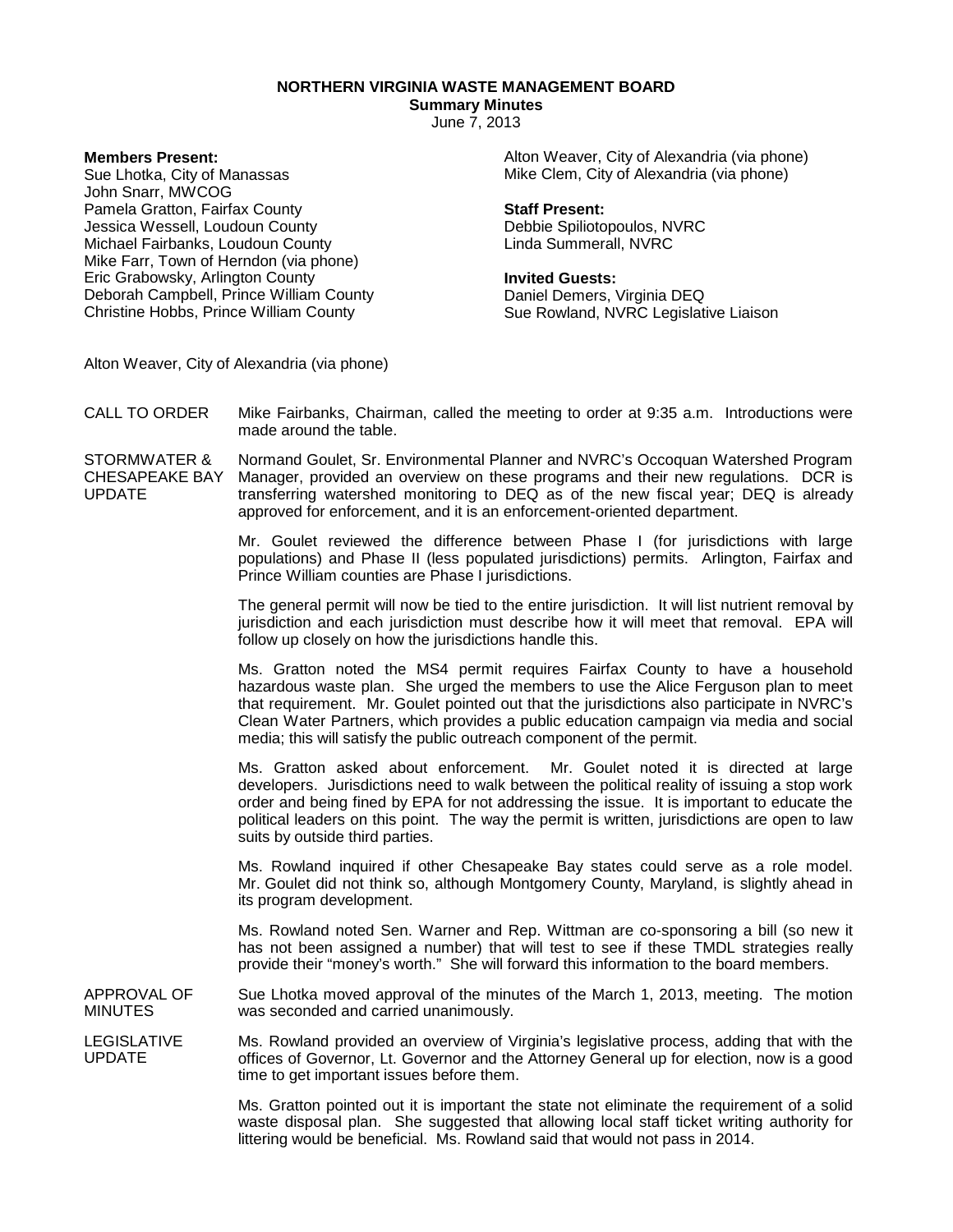**NORTHERN VIRGINIA WASTE MANAGEMENT BOARD**

**Summary Minutes**

June 7, 2013

**Members Present:**

Sue Lhotka, City of Manassas John Snarr, MWCOG Pamela Gratton, Fairfax County Jessica Wessell, Loudoun County Michael Fairbanks, Loudoun County Mike Farr, Town of Herndon (via phone) Eric Grabowsky, Arlington County Deborah Campbell, Prince William County Christine Hobbs, Prince William County

Alton Weaver, City of Alexandria (via phone) Mike Clem, City of Alexandria (via phone)

## **Staff Present:**

Debbie Spiliotopoulos, NVRC Linda Summerall, NVRC

## **Invited Guests:**

Daniel Demers, Virginia DEQ Sue Rowland, NVRC Legislative Liaison

Alton Weaver, City of Alexandria (via phone)

CALL TO ORDER Mike Fairbanks, Chairman, called the meeting to order at 9:35 a.m. Introductions were made around the table.

STORMWATER & CHESAPEAKE BAY UPDATE Normand Goulet, Sr. Environmental Planner and NVRC's Occoquan Watershed Program Manager, provided an overview on these programs and their new regulations. DCR is transferring watershed monitoring to DEQ as of the new fiscal year; DEQ is already approved for enforcement, and it is an enforcement-oriented department.

> Mr. Goulet reviewed the difference between Phase I (for jurisdictions with large populations) and Phase II (less populated jurisdictions) permits. Arlington, Fairfax and Prince William counties are Phase I jurisdictions.

> The general permit will now be tied to the entire jurisdiction. It will list nutrient removal by jurisdiction and each jurisdiction must describe how it will meet that removal. EPA will follow up closely on how the jurisdictions handle this.

> Ms. Gratton noted the MS4 permit requires Fairfax County to have a household hazardous waste plan. She urged the members to use the Alice Ferguson plan to meet that requirement. Mr. Goulet pointed out that the jurisdictions also participate in NVRC's Clean Water Partners, which provides a public education campaign via media and social media; this will satisfy the public outreach component of the permit.

> Ms. Gratton asked about enforcement. Mr. Goulet noted it is directed at large developers. Jurisdictions need to walk between the political reality of issuing a stop work order and being fined by EPA for not addressing the issue. It is important to educate the political leaders on this point. The way the permit is written, jurisdictions are open to law suits by outside third parties.

> Ms. Rowland inquired if other Chesapeake Bay states could serve as a role model. Mr. Goulet did not think so, although Montgomery County, Maryland, is slightly ahead in its program development.

> Ms. Rowland noted Sen. Warner and Rep. Wittman are co-sponsoring a bill (so new it has not been assigned a number) that will test to see if these TMDL strategies really provide their "money's worth." She will forward this information to the board members.

APPROVAL OF MINUTES Sue Lhotka moved approval of the minutes of the March 1, 2013, meeting. The motion was seconded and carried unanimously.

LEGISLATIVE UPDATE Ms. Rowland provided an overview of Virginia's legislative process, adding that with the offices of Governor, Lt. Governor and the Attorney General up for election, now is a good time to get important issues before them.

> Ms. Gratton pointed out it is important the state not eliminate the requirement of a solid waste disposal plan. She suggested that allowing local staff ticket writing authority for littering would be beneficial. Ms. Rowland said that would not pass in 2014.